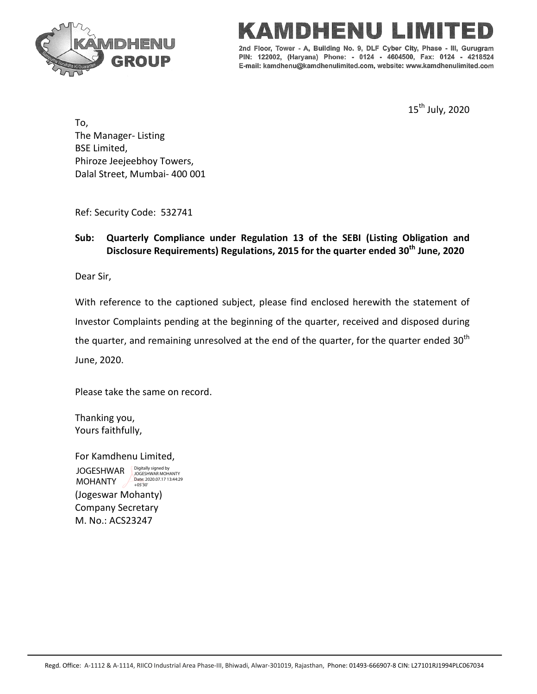



2nd Floor, Tower - A, Building No. 9, DLF Cyber City, Phase Gurugram PIN: 122002, (Haryana) Phone: - 0124 - 4604500, Fax: 0124 - 4218524 E-mail: kamdhenu@kamdhenulimited.com, website: www.kamdhenulimited.com

15<sup>th</sup> July, 2020

To, The Manager- Listing BSE Limited, Phiroze Jeejeebhoy Towers, Dalal Street, Mumbai- 400 001

Ref: Security Code: 532741

## **Sub: Quarterly Compliance under Regulation 13 of the SEBI (Listing Obligation and Disclosure Requirements) Regulations, 2015 for the quarter ended 30th June, 2020**

Dear Sir,

With reference to the captioned subject, please find enclosed herewith the statement of Investor Complaints pending at the beginning of the quarter, received and disposed during the quarter, and remaining unresolved at the end of the quarter, for the quarter ended  $30<sup>th</sup>$ June, 2020.

Please take the same on record.

Thanking you, Yours faithfully,

For Kamdhenu Limited, (Jogeswar Mohanty) Company Secretary JOGESHWAR MOHANTY Digitally signed by JOGESHWAR MOHANTY Date: 2020.07.17 13:44:29 +05'30'

M. No.: ACS23247